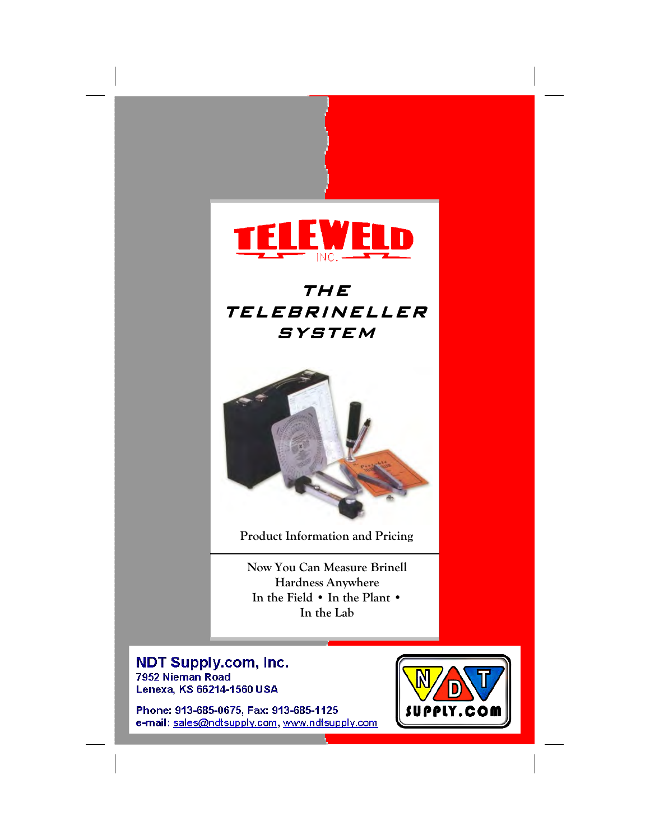

# THE TELEBRINELLER **SYSTEM**



Product Information and Pricing

Now You Can Measure Brinell Anywhere Hardness Anywhere In the Field • In the Plant • In the Lab All Conditions

**NDT Supply.com, Inc.** 7952 Nieman Road Lenexa, KS 66214-1560 USA

 $\frac{1}{x}$  ax: 515-665-1125 Phone: 913-685-0675, Fax: 913-685-1125

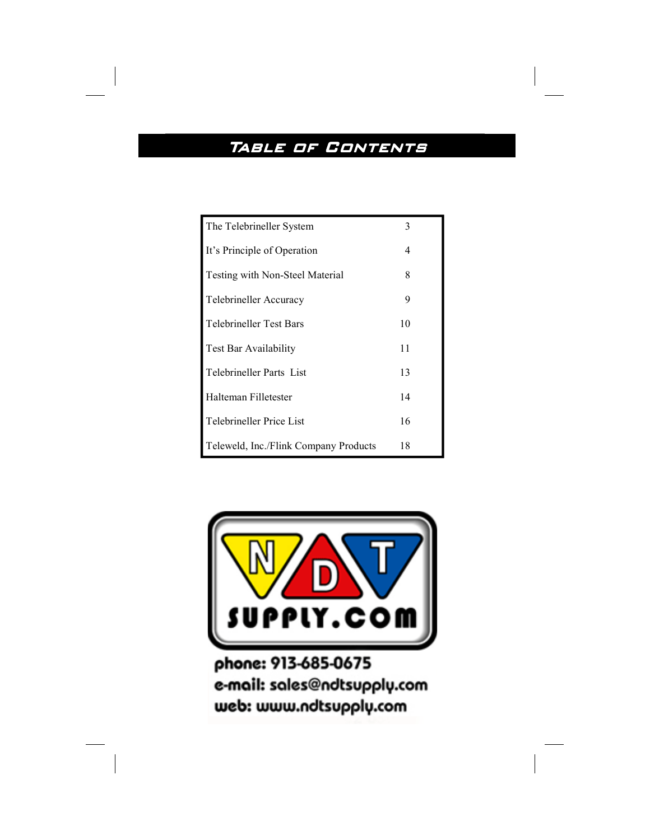# TABLE OF CONTENTS

| The Telebrineller System              | 3  |
|---------------------------------------|----|
| It's Principle of Operation           | 4  |
| Testing with Non-Steel Material       | 8  |
| Telebrineller Accuracy                | 9  |
| Telebrineller Test Bars               | 10 |
| Test Bar Availability                 | 11 |
| Telebrineller Parts List              | 13 |
| Halteman Filletester                  | 14 |
| Telebrineller Price List              | 16 |
| Teleweld, Inc./Flink Company Products | 18 |



phone: 913-685-0675 e-mail: sales@ndtsupply.com web: www.ndtsupply.com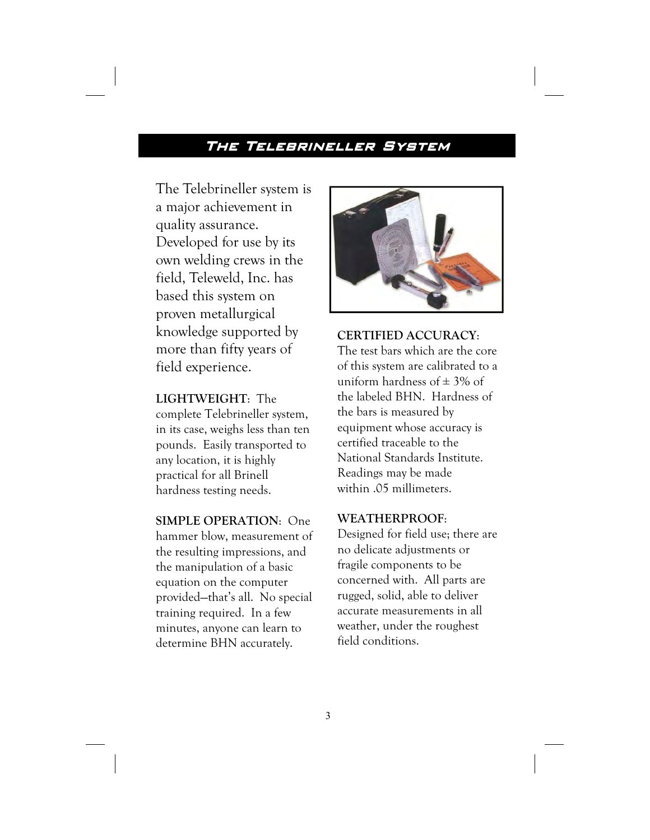# The Telebrineller System

The Telebrineller system is a major achievement in quality assurance. Developed for use by its own welding crews in the field, Teleweld, Inc. has based this system on proven metallurgical knowledge supported by more than fifty years of field experience.

### LIGHTWEIGHT: The

complete Telebrineller system, in its case, weighs less than ten pounds. Easily transported to any location, it is highly practical for all Brinell hardness testing needs.

SIMPLE OPERATION: One hammer blow, measurement of the resulting impressions, and the manipulation of a basic equation on the computer provided—that's all. No special training required. In a few minutes, anyone can learn to determine BHN accurately.



# CERTIFIED ACCURACY:

The test bars which are the core of this system are calibrated to a uniform hardness of  $\pm$  3% of the labeled BHN. Hardness of the bars is measured by equipment whose accuracy is certified traceable to the National Standards Institute. Readings may be made within .05 millimeters.

# WEATHERPROOF:

Designed for field use; there are no delicate adjustments or fragile components to be concerned with. All parts are rugged, solid, able to deliver accurate measurements in all weather, under the roughest field conditions.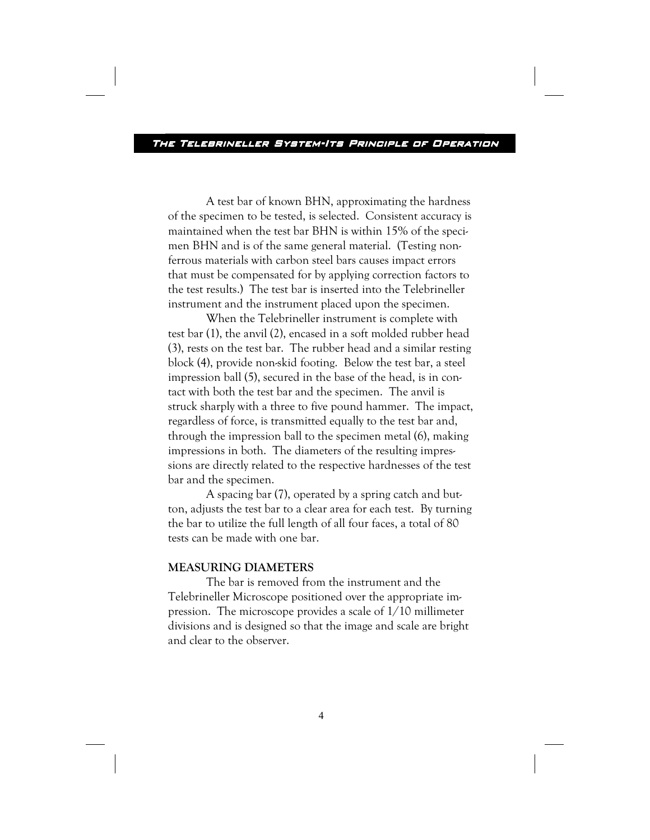A test bar of known BHN, approximating the hardness of the specimen to be tested, is selected. Consistent accuracy is maintained when the test bar BHN is within 15% of the specimen BHN and is of the same general material. (Testing nonferrous materials with carbon steel bars causes impact errors that must be compensated for by applying correction factors to the test results.) The test bar is inserted into the Telebrineller instrument and the instrument placed upon the specimen.

 When the Telebrineller instrument is complete with test bar (1), the anvil (2), encased in a soft molded rubber head (3), rests on the test bar. The rubber head and a similar resting block (4), provide non-skid footing. Below the test bar, a steel impression ball (5), secured in the base of the head, is in contact with both the test bar and the specimen. The anvil is struck sharply with a three to five pound hammer. The impact, regardless of force, is transmitted equally to the test bar and, through the impression ball to the specimen metal (6), making impressions in both. The diameters of the resulting impressions are directly related to the respective hardnesses of the test bar and the specimen.

 A spacing bar (7), operated by a spring catch and button, adjusts the test bar to a clear area for each test. By turning the bar to utilize the full length of all four faces, a total of 80 tests can be made with one bar.

### MEASURING DIAMETERS

 The bar is removed from the instrument and the Telebrineller Microscope positioned over the appropriate impression. The microscope provides a scale of 1/10 millimeter divisions and is designed so that the image and scale are bright and clear to the observer.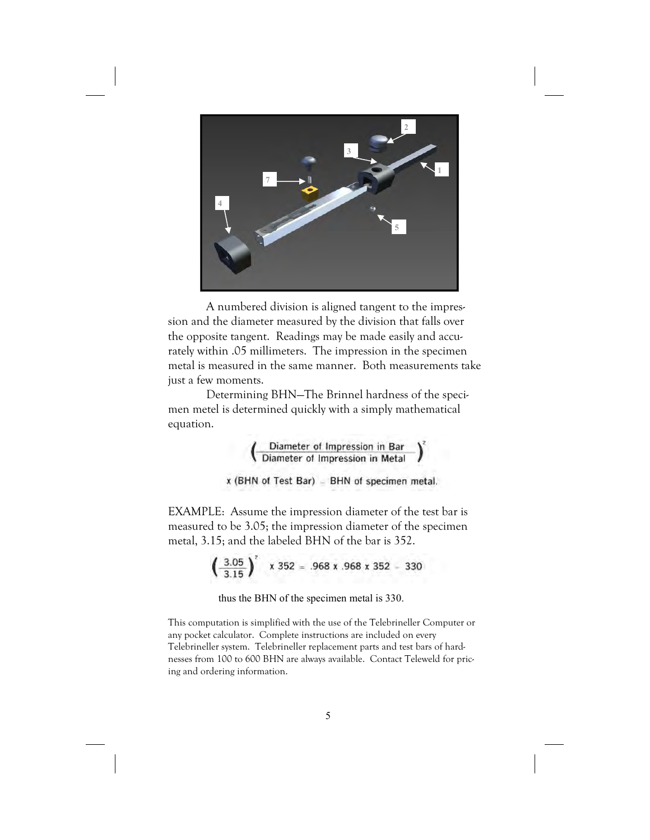

 A numbered division is aligned tangent to the impression and the diameter measured by the division that falls over the opposite tangent. Readings may be made easily and accurately within .05 millimeters. The impression in the specimen metal is measured in the same manner. Both measurements take just a few moments.

 Determining BHN—The Brinnel hardness of the specimen metel is determined quickly with a simply mathematical equation.

$$
\left(\begin{array}{c}\text{Diameter of Impression in Bar} \\ \text{Diameter of Impression in Metal}\end{array}\right)
$$

x (BHN of Test Bar) - BHN of specimen metal.

EXAMPLE: Assume the impression diameter of the test bar is measured to be 3.05; the impression diameter of the specimen metal, 3.15; and the labeled BHN of the bar is 352.

$$
\left(\frac{3.05}{3.15}\right)^2 \times 352 = .968 \times .968 \times 352 = 330
$$

thus the BHN of the specimen metal is 330.

This computation is simplified with the use of the Telebrineller Computer or any pocket calculator. Complete instructions are included on every Telebrineller system. Telebrineller replacement parts and test bars of hardnesses from 100 to 600 BHN are always available. Contact Teleweld for pricing and ordering information.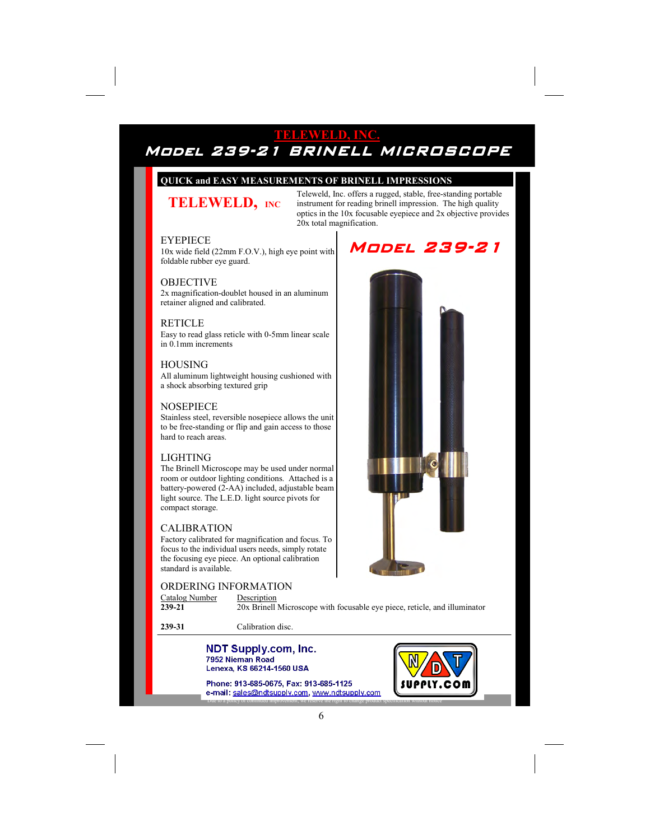# TELEWELD, INC. Model 239-21 BRINELL MICROSCOPE

#### QUICK and EASY MEASUREMENTS OF BRINELL IMPRESSIONS

# TELEWELD, INC.

Teleweld, Inc. offers a rugged, stable, free-standing portable instrument for reading brinell impression. The high quality optics in the 10x focusable eyepiece and 2x objective provides 20x total magnification.

#### EYEPIECE

10x wide field (22mm F.O.V.), high eye point with foldable rubber eye guard.

#### OBJECTIVE

2x magnification-doublet housed in an aluminum retainer aligned and calibrated.

#### **RETICLE**

Easy to read glass reticle with 0-5mm linear scale in 0.1mm increments

#### **HOUSING**

All aluminum lightweight housing cushioned with a shock absorbing textured grip

#### **NOSEPIECE**

Stainless steel, reversible nosepiece allows the unit to be free-standing or flip and gain access to those hard to reach areas.

#### LIGHTING

The Brinell Microscope may be used under normal room or outdoor lighting conditions. Attached is a battery-powered (2-AA) included, adjustable beam light source. The L.E.D. light source pivots for compact storage.

#### CALIBRATION

Factory calibrated for magnification and focus. To focus to the individual users needs, simply rotate the focusing eye piece. An optional calibration standard is available.

#### ORDERING INFORMATION

 $\frac{\text{Catalog Number}}{\text{239-21}}$  Description 20x Brinell Microscope with focusable eye piece, reticle, and illuminator

239-31 Calibration disc.

#### TELEWELD, INC. n, mc. with  $\mathbf{r}$ 7952 Nieman Road Streator, IL 61364  $\mathbf{v}$  USA

Phone: 913-685-0675, Fax: 913-685-1125 e-mail: sales@ndtsupply.com, www.ndtsupply.com tea improvement, we reserve the ri





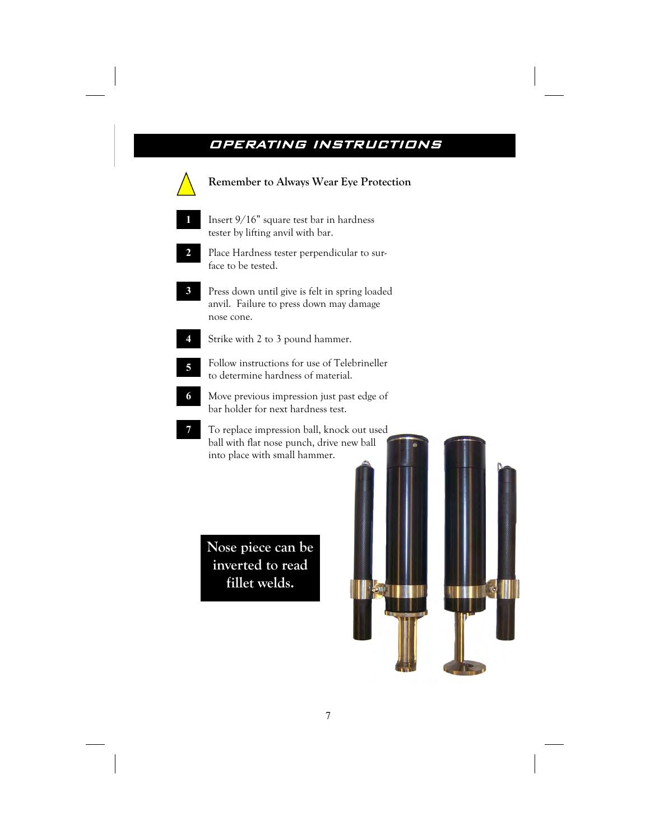# OPERATING INSTRUCTIONS INSTRUCTIONS



Nose piece can be inverted to read fillet welds.

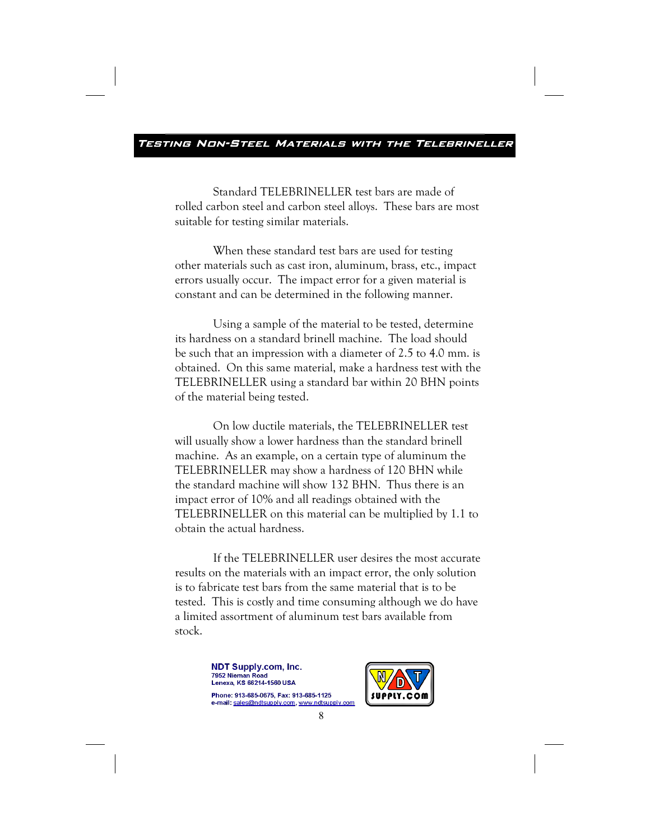Standard TELEBRINELLER test bars are made of rolled carbon steel and carbon steel alloys. These bars are most suitable for testing similar materials.

 When these standard test bars are used for testing other materials such as cast iron, aluminum, brass, etc., impact errors usually occur. The impact error for a given material is constant and can be determined in the following manner.

 Using a sample of the material to be tested, determine its hardness on a standard brinell machine. The load should be such that an impression with a diameter of 2.5 to 4.0 mm. is obtained. On this same material, make a hardness test with the TELEBRINELLER using a standard bar within 20 BHN points of the material being tested.

 On low ductile materials, the TELEBRINELLER test will usually show a lower hardness than the standard brinell machine. As an example, on a certain type of aluminum the TELEBRINELLER may show a hardness of 120 BHN while the standard machine will show 132 BHN. Thus there is an impact error of 10% and all readings obtained with the TELEBRINELLER on this material can be multiplied by 1.1 to obtain the actual hardness.

 If the TELEBRINELLER user desires the most accurate results on the materials with an impact error, the only solution is to fabricate test bars from the same material that is to be tested. This is costly and time consuming although we do have a limited assortment of aluminum test bars available from stock.

> NDT Supply.com, Inc. 7952 Nieman Road Lenexa, KS 66214-1560 USA<br>Phone: 913-685-0675, Fax: 913-685-1125

e-mail: sales@ndtsupply.com, www.ndtsupply.com

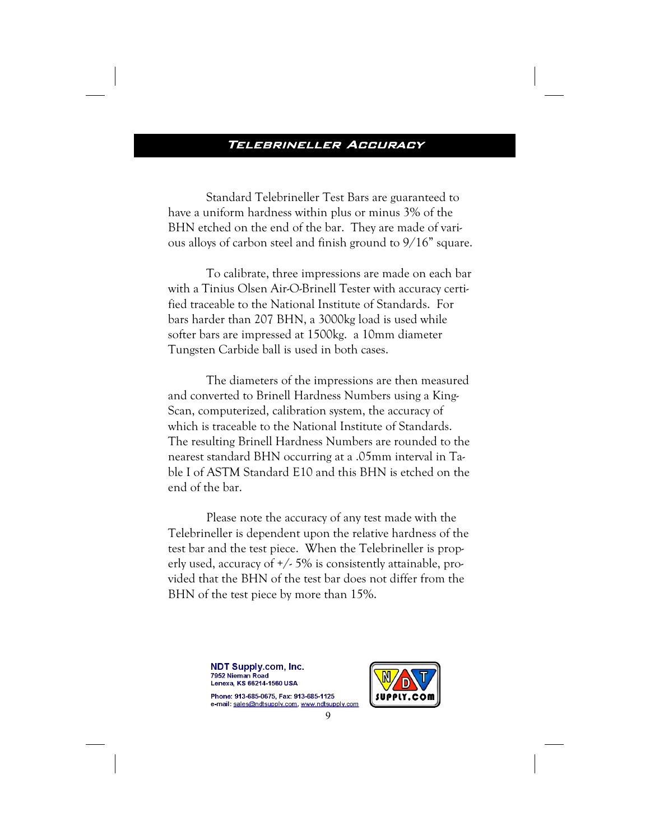### TELEBRINELLER ACCURACY

Standard Telebrineller Test Bars are guaranteed to have a uniform hardness within plus or minus 3% of the BHN etched on the end of the bar. They are made of various alloys of carbon steel and finish ground to 9/16" square.

 To calibrate, three impressions are made on each bar with a Tinius Olsen Air-O-Brinell Tester with accuracy certified traceable to the National Institute of Standards. For bars harder than 207 BHN, a 3000kg load is used while softer bars are impressed at 1500kg. a 10mm diameter Tungsten Carbide ball is used in both cases.

 The diameters of the impressions are then measured and converted to Brinell Hardness Numbers using a King-Scan, computerized, calibration system, the accuracy of which is traceable to the National Institute of Standards. The resulting Brinell Hardness Numbers are rounded to the nearest standard BHN occurring at a .05mm interval in Table I of ASTM Standard E10 and this BHN is etched on the end of the bar.

Please note the accuracy of any test made with the Telebrineller is dependent upon the relative hardness of the test bar and the test piece. When the Telebrineller is properly used, accuracy of +/- 5% is consistently attainable, provided that the BHN of the test bar does not differ from the BHN of the test piece by more than 15%.

> **NDT Supply.com, Inc.** 7952 Nieman Road Lenexa, KS 66214-1560 USA<br>Phone: 913-685-0675, Fax: 913-685-1125

e-mail: sales@ndtsupply.com, www.ndtsupply.com

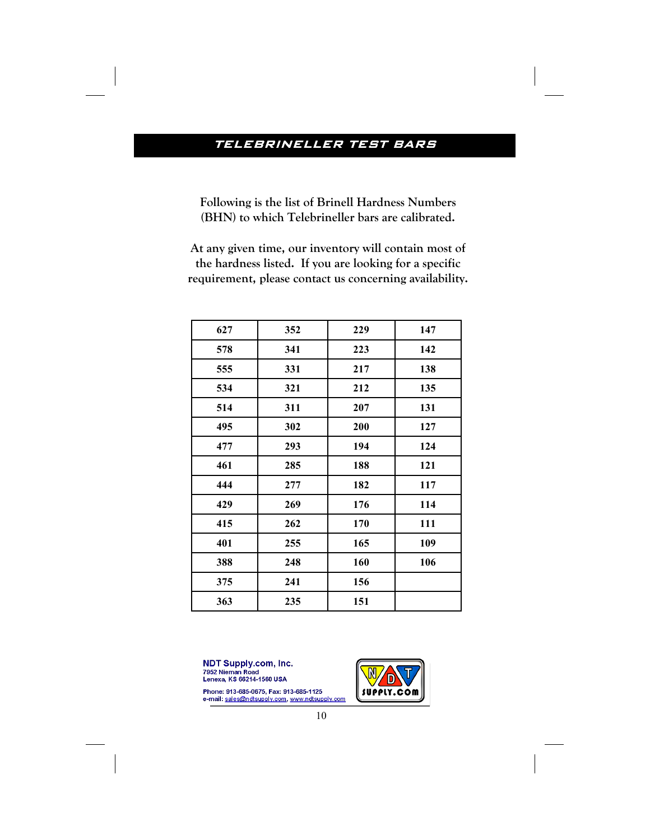# TELEBRINELLER TEST BARS

Following is the list of Brinell Hardness Numbers (BHN) to which Telebrineller bars are calibrated.

At any given time, our inventory will contain most of the hardness listed. If you are looking for a specific requirement, please contact us concerning availability.

| 627 | 352 | 229 | 147 |
|-----|-----|-----|-----|
| 578 | 341 | 223 | 142 |
| 555 | 331 | 217 | 138 |
| 534 | 321 | 212 | 135 |
| 514 | 311 | 207 | 131 |
| 495 | 302 | 200 | 127 |
| 477 | 293 | 194 | 124 |
| 461 | 285 | 188 | 121 |
| 444 | 277 | 182 | 117 |
| 429 | 269 | 176 | 114 |
| 415 | 262 | 170 | 111 |
| 401 | 255 | 165 | 109 |
| 388 | 248 | 160 | 106 |
| 375 | 241 | 156 |     |
| 363 | 235 | 151 |     |

**NDT Supply.com, Inc.** 7952 Nieman Road Lenexa, KS 66214-1560 USA

Phone: 913-685-0675, Fax: 913-685-1125<br>e-mail: sales@ndtsupply.com, www.ndtsupply.com

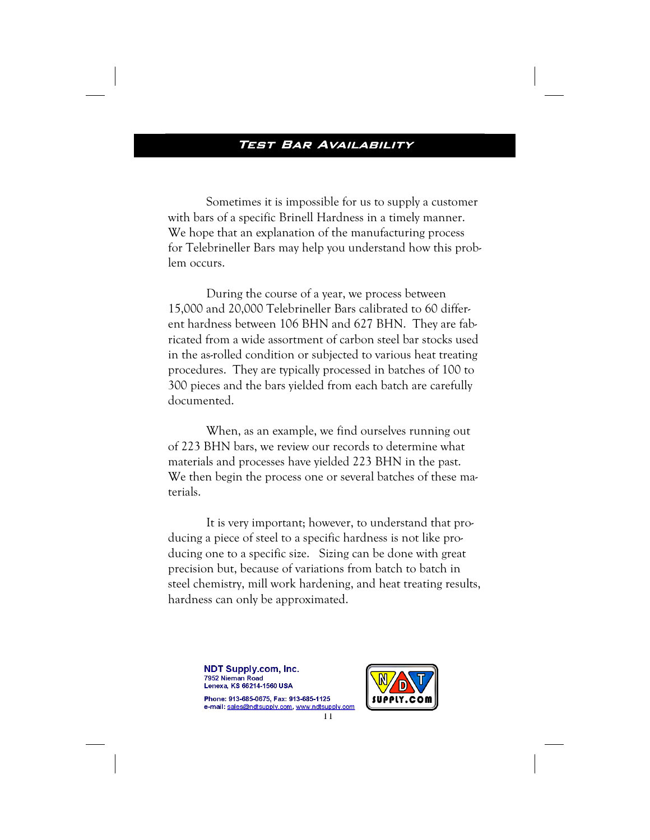Sometimes it is impossible for us to supply a customer with bars of a specific Brinell Hardness in a timely manner. We hope that an explanation of the manufacturing process for Telebrineller Bars may help you understand how this problem occurs.

 During the course of a year, we process between 15,000 and 20,000 Telebrineller Bars calibrated to 60 different hardness between 106 BHN and 627 BHN. They are fabricated from a wide assortment of carbon steel bar stocks used in the as-rolled condition or subjected to various heat treating procedures. They are typically processed in batches of 100 to 300 pieces and the bars yielded from each batch are carefully documented.

 When, as an example, we find ourselves running out of 223 BHN bars, we review our records to determine what materials and processes have yielded 223 BHN in the past. We then begin the process one or several batches of these materials.

 It is very important; however, to understand that producing a piece of steel to a specific hardness is not like producing one to a specific size. Sizing can be done with great precision but, because of variations from batch to batch in steel chemistry, mill work hardening, and heat treating results, hardness can only be approximated.

> **NDT Supply.com, Inc.** 7952 Nieman Road Lenexa, KS 66214-1560 USA<br>Phone: 913-685-0675, Fax: 913-685-1125

e-mail: sales@ndtsupply.com, www.ndtsupply.com

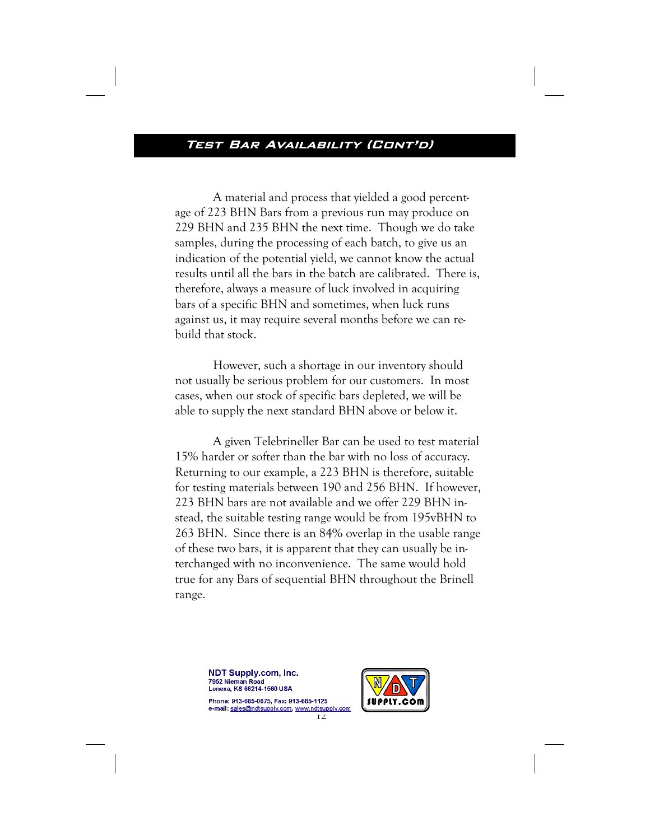# TEST BAR AVAILABILITY (CONT'D)

A material and process that yielded a good percentage of 223 BHN Bars from a previous run may produce on 229 BHN and 235 BHN the next time. Though we do take samples, during the processing of each batch, to give us an indication of the potential yield, we cannot know the actual results until all the bars in the batch are calibrated. There is, therefore, always a measure of luck involved in acquiring bars of a specific BHN and sometimes, when luck runs against us, it may require several months before we can rebuild that stock.

 However, such a shortage in our inventory should not usually be serious problem for our customers. In most cases, when our stock of specific bars depleted, we will be able to supply the next standard BHN above or below it.

 A given Telebrineller Bar can be used to test material 15% harder or softer than the bar with no loss of accuracy. Returning to our example, a 223 BHN is therefore, suitable for testing materials between 190 and 256 BHN. If however, 223 BHN bars are not available and we offer 229 BHN instead, the suitable testing range would be from 195vBHN to 263 BHN. Since there is an 84% overlap in the usable range of these two bars, it is apparent that they can usually be interchanged with no inconvenience. The same would hold true for any Bars of sequential BHN throughout the Brinell range.

> **NDT Supply.com, Inc.** 7952 Nieman Road Lenexa, KS 66214-1560 USA<br>Phone: 913-685-0675. Fax: 913-685-1125

e-mail: sales@ndtsupply.com, www.ndtsupply.com<br>12

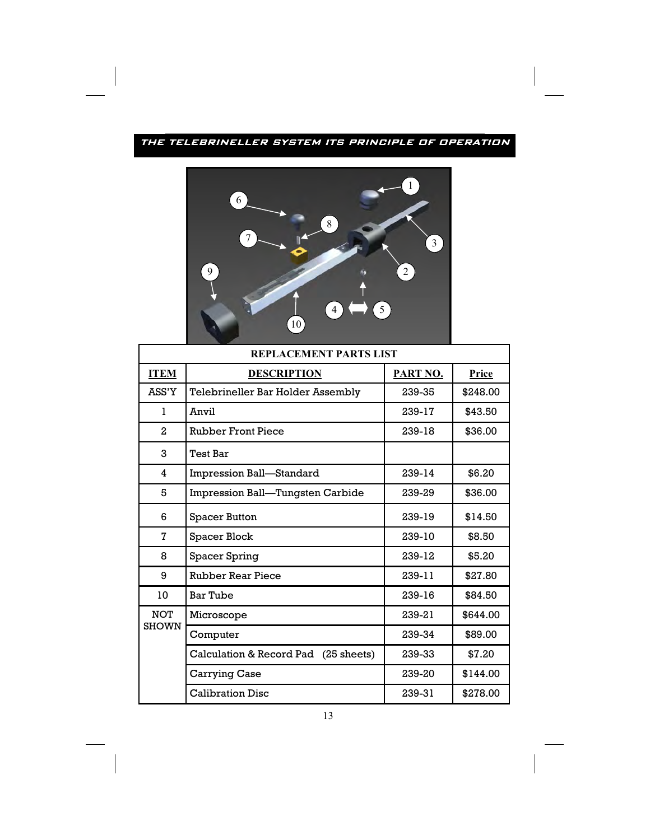## THE TELEBRINELLER SYSTEM ITS PRINCIPLE OF OPERATION



| REPLACEMENT PARTS LIST     |                                      |          |          |  |  |
|----------------------------|--------------------------------------|----------|----------|--|--|
| <b>ITEM</b>                | <b>DESCRIPTION</b>                   | PART NO. | Price    |  |  |
| ASS'Y                      | Telebrineller Bar Holder Assembly    | 239-35   | \$248.00 |  |  |
| $\mathbf{1}$               | Anvil                                | 239-17   | \$43.50  |  |  |
| $\overline{2}$             | <b>Rubber Front Piece</b>            | 239-18   | \$36.00  |  |  |
| 3                          | <b>Test Bar</b>                      |          |          |  |  |
| 4                          | Impression Ball-Standard             | 239-14   | \$6.20   |  |  |
| 5                          | Impression Ball-Tungsten Carbide     | 239-29   | \$36.00  |  |  |
| 6                          | Spacer Button                        | 239-19   | \$14.50  |  |  |
| 7                          | Spacer Block                         | 239-10   | \$8.50   |  |  |
| 8                          | Spacer Spring                        | 239-12   | \$5.20   |  |  |
| 9                          | <b>Rubber Rear Piece</b>             | 239-11   | \$27.80  |  |  |
| 10                         | Bar Tube                             | 239-16   | \$84.50  |  |  |
| <b>NOT</b><br><b>SHOWN</b> | Microscope                           | 239-21   | \$644.00 |  |  |
|                            | Computer                             | 239-34   | \$89.00  |  |  |
|                            | Calculation & Record Pad (25 sheets) | 239-33   | \$7.20   |  |  |
|                            | Carrying Case                        | 239-20   | \$144.00 |  |  |
|                            | <b>Calibration Disc</b>              | 239-31   | \$278.00 |  |  |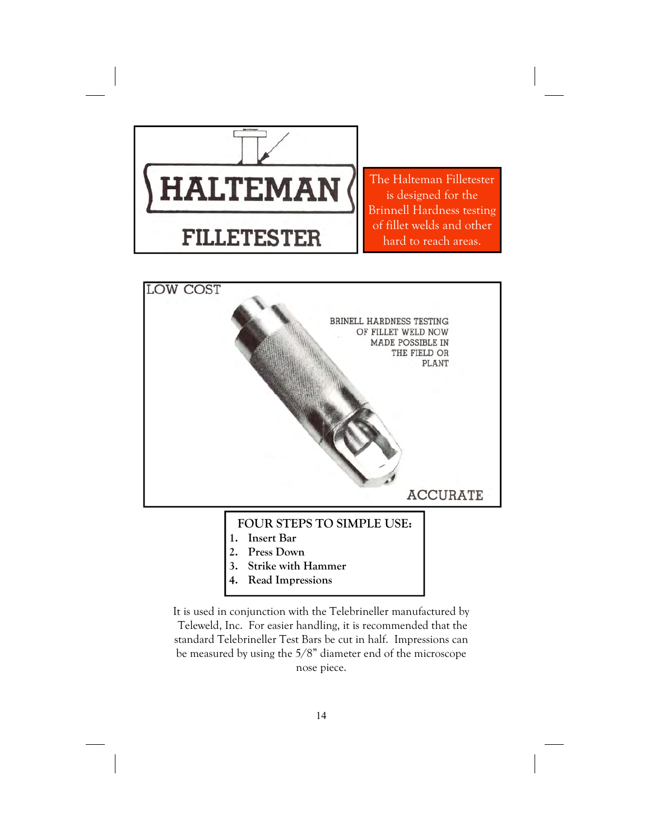

The Halteman Filletester is designed for the Brinnell Hardness testing of fillet welds and other hard to reach areas.



It is used in conjunction with the Telebrineller manufactured by Teleweld, Inc. For easier handling, it is recommended that the standard Telebrineller Test Bars be cut in half. Impressions can be measured by using the 5/8" diameter end of the microscope nose piece.